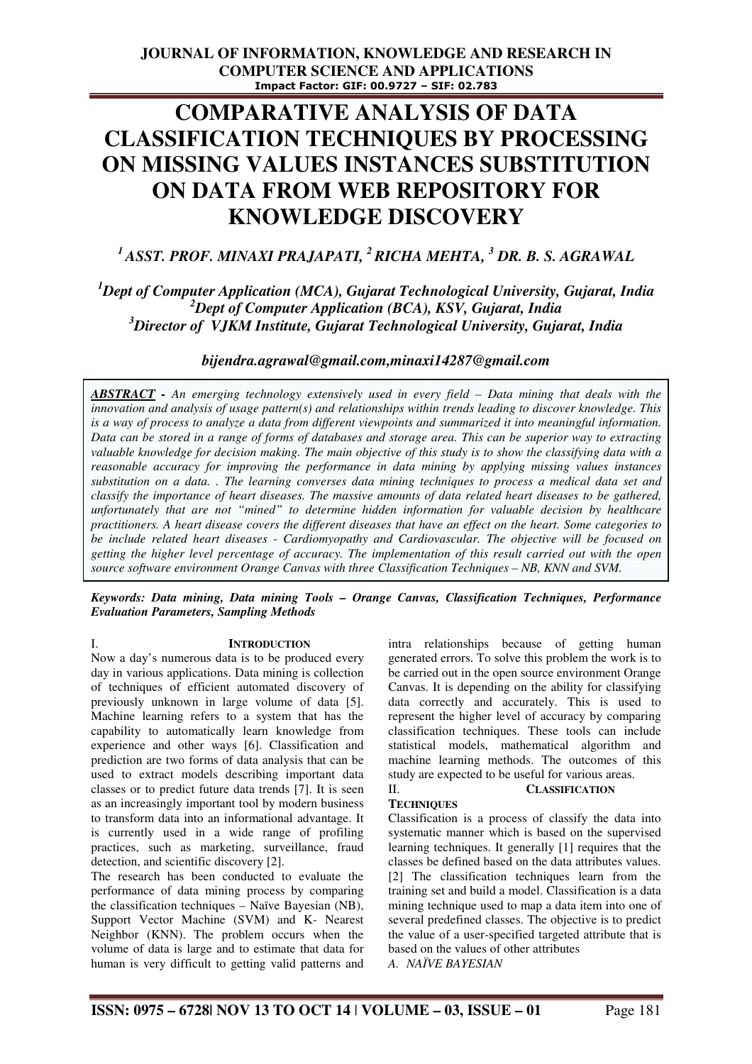# **COMPARATIVE ANALYSIS OF DATA CLASSIFICATION TECHNIQUES BY PROCESSING ON MISSING VALUES INSTANCES SUBSTITUTION ON DATA FROM WEB REPOSITORY FOR KNOWLEDGE DISCOVERY**

*<sup>1</sup>ASST. PROF. MINAXI PRAJAPATI, <sup>2</sup>RICHA MEHTA, <sup>3</sup> DR. B. S. AGRAWAL* 

# *<sup>1</sup>Dept of Computer Application (MCA), Gujarat Technological University, Gujarat, India <sup>2</sup>Dept of Computer Application (BCA), KSV, Gujarat, India <sup>3</sup>Director of VJKM Institute, Gujarat Technological University, Gujarat, India*

## *bijendra.agrawal@gmail.com,minaxi14287@gmail.com*

*ABSTRACT - An emerging technology extensively used in every field – Data mining that deals with the innovation and analysis of usage pattern(s) and relationships within trends leading to discover knowledge. This is a way of process to analyze a data from different viewpoints and summarized it into meaningful information. Data can be stored in a range of forms of databases and storage area. This can be superior way to extracting valuable knowledge for decision making. The main objective of this study is to show the classifying data with a reasonable accuracy for improving the performance in data mining by applying missing values instances substitution on a data. . The learning converses data mining techniques to process a medical data set and classify the importance of heart diseases. The massive amounts of data related heart diseases to be gathered, unfortunately that are not "mined" to determine hidden information for valuable decision by healthcare practitioners. A heart disease covers the different diseases that have an effect on the heart. Some categories to be include related heart diseases - Cardiomyopathy and Cardiovascular. The objective will be focused on getting the higher level percentage of accuracy. The implementation of this result carried out with the open source software environment Orange Canvas with three Classification Techniques – NB, KNN and SVM.* 

#### *Keywords: Data mining, Data mining Tools – Orange Canvas, Classification Techniques, Performance Evaluation Parameters, Sampling Methods*

I. **INTRODUCTION**

Now a day's numerous data is to be produced every day in various applications. Data mining is collection of techniques of efficient automated discovery of previously unknown in large volume of data [5]. Machine learning refers to a system that has the capability to automatically learn knowledge from experience and other ways [6]. Classification and prediction are two forms of data analysis that can be used to extract models describing important data classes or to predict future data trends [7]. It is seen as an increasingly important tool by modern business to transform data into an informational advantage. It is currently used in a wide range of profiling practices, such as marketing, surveillance, fraud detection, and scientific discovery [2].

The research has been conducted to evaluate the performance of data mining process by comparing the classification techniques – Naïve Bayesian (NB), Support Vector Machine (SVM) and K- Nearest Neighbor (KNN). The problem occurs when the volume of data is large and to estimate that data for human is very difficult to getting valid patterns and intra relationships because of getting human generated errors. To solve this problem the work is to be carried out in the open source environment Orange Canvas. It is depending on the ability for classifying data correctly and accurately. This is used to represent the higher level of accuracy by comparing classification techniques. These tools can include statistical models, mathematical algorithm and machine learning methods. The outcomes of this study are expected to be useful for various areas.

# II. **CLASSIFICATION**

### **TECHNIQUES**

Classification is a process of classify the data into systematic manner which is based on the supervised learning techniques. It generally [1] requires that the classes be defined based on the data attributes values. [2] The classification techniques learn from the training set and build a model. Classification is a data mining technique used to map a data item into one of several predefined classes. The objective is to predict the value of a user-specified targeted attribute that is based on the values of other attributes *A. NAÏVE BAYESIAN*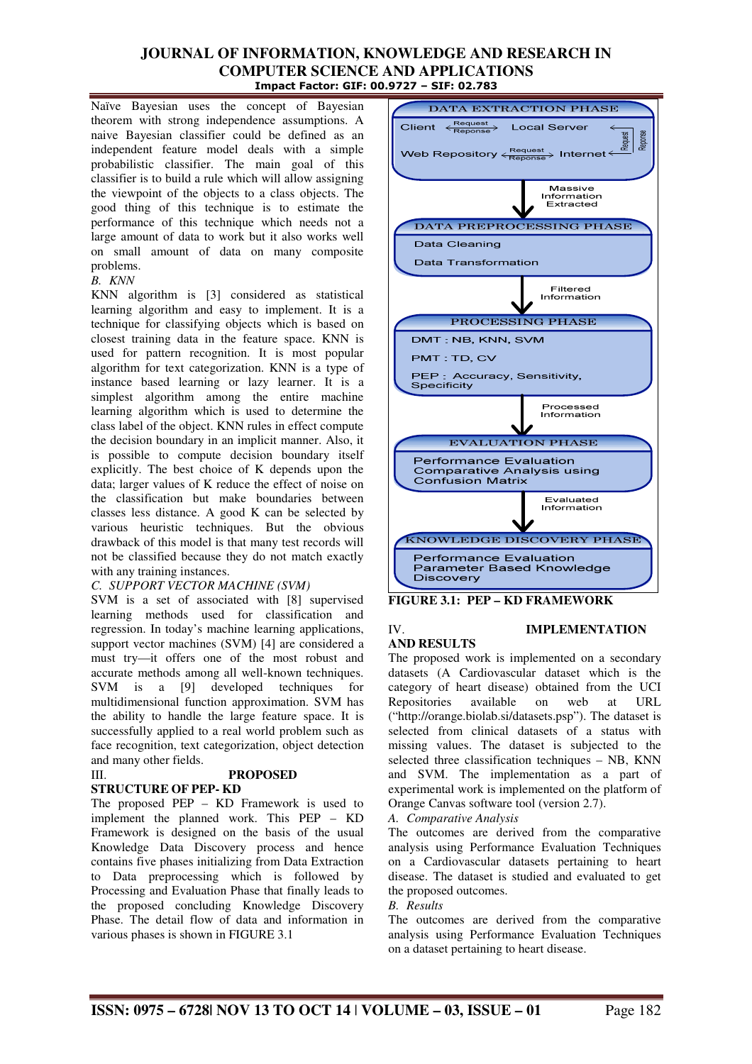Naïve Bayesian uses the concept of Bayesian theorem with strong independence assumptions. A naive Bayesian classifier could be defined as an independent feature model deals with a simple probabilistic classifier. The main goal of this classifier is to build a rule which will allow assigning the viewpoint of the objects to a class objects. The good thing of this technique is to estimate the performance of this technique which needs not a large amount of data to work but it also works well on small amount of data on many composite problems.

### *B. KNN*

KNN algorithm is [3] considered as statistical learning algorithm and easy to implement. It is a technique for classifying objects which is based on closest training data in the feature space. KNN is used for pattern recognition. It is most popular algorithm for text categorization. KNN is a type of instance based learning or lazy learner. It is a simplest algorithm among the entire machine learning algorithm which is used to determine the class label of the object. KNN rules in effect compute the decision boundary in an implicit manner. Also, it is possible to compute decision boundary itself explicitly. The best choice of K depends upon the data; larger values of K reduce the effect of noise on the classification but make boundaries between classes less distance. A good K can be selected by various heuristic techniques. But the obvious drawback of this model is that many test records will not be classified because they do not match exactly with any training instances.

### *C. SUPPORT VECTOR MACHINE (SVM)*

SVM is a set of associated with [8] supervised learning methods used for classification and regression. In today's machine learning applications, support vector machines (SVM) [4] are considered a must try—it offers one of the most robust and accurate methods among all well-known techniques. SVM is a [9] developed techniques for multidimensional function approximation. SVM has the ability to handle the large feature space. It is successfully applied to a real world problem such as face recognition, text categorization, object detection and many other fields.

# III. **PROPOSED**

### **STRUCTURE OF PEP- KD**

The proposed PEP – KD Framework is used to implement the planned work. This PEP – KD Framework is designed on the basis of the usual Knowledge Data Discovery process and hence contains five phases initializing from Data Extraction to Data preprocessing which is followed by Processing and Evaluation Phase that finally leads to the proposed concluding Knowledge Discovery Phase. The detail flow of data and information in various phases is shown in FIGURE 3.1



### **FIGURE 3.1: PEP – KD FRAMEWORK**

# **AND RESULTS**

### IV. **IMPLEMENTATION**

The proposed work is implemented on a secondary datasets (A Cardiovascular dataset which is the category of heart disease) obtained from the UCI Repositories available on web at URL ("http://orange.biolab.si/datasets.psp"). The dataset is selected from clinical datasets of a status with missing values. The dataset is subjected to the selected three classification techniques – NB, KNN and SVM. The implementation as a part of experimental work is implemented on the platform of Orange Canvas software tool (version 2.7).

*A. Comparative Analysis* 

The outcomes are derived from the comparative analysis using Performance Evaluation Techniques on a Cardiovascular datasets pertaining to heart disease. The dataset is studied and evaluated to get the proposed outcomes.

### *B. Results*

The outcomes are derived from the comparative analysis using Performance Evaluation Techniques on a dataset pertaining to heart disease.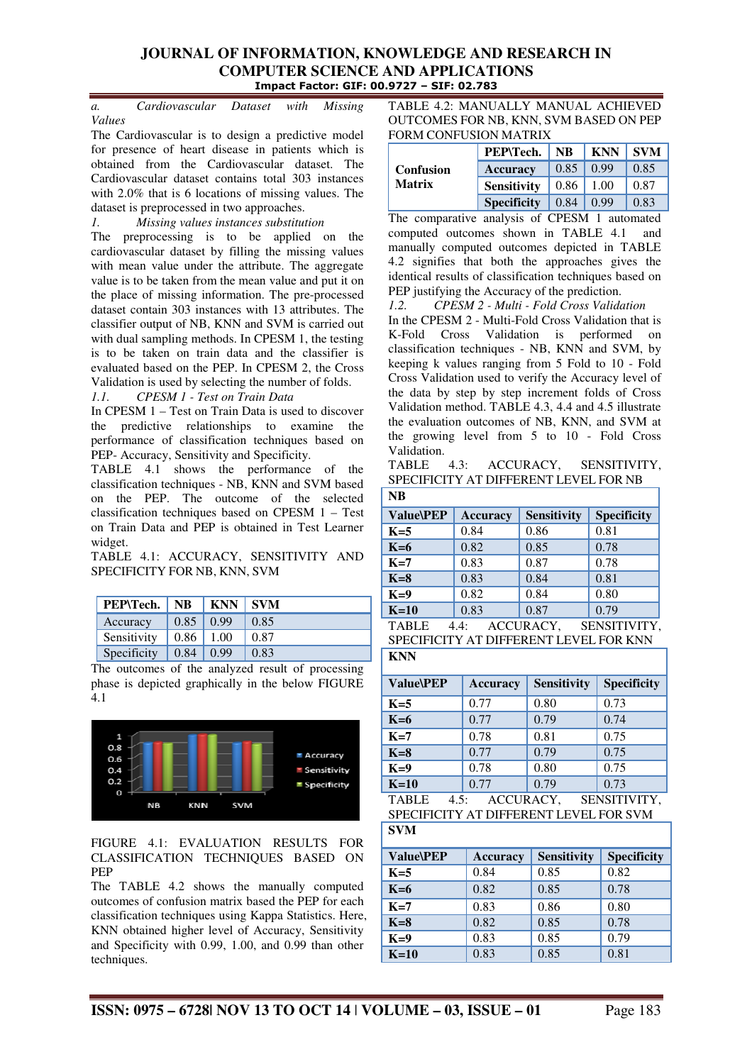*a. Cardiovascular Dataset with Missing Values* 

The Cardiovascular is to design a predictive model for presence of heart disease in patients which is obtained from the Cardiovascular dataset. The Cardiovascular dataset contains total 303 instances with 2.0% that is 6 locations of missing values. The dataset is preprocessed in two approaches.

*1. Missing values instances substitution*  The preprocessing is to be applied on the cardiovascular dataset by filling the missing values with mean value under the attribute. The aggregate value is to be taken from the mean value and put it on the place of missing information. The pre-processed dataset contain 303 instances with 13 attributes. The classifier output of NB, KNN and SVM is carried out with dual sampling methods. In CPESM 1, the testing is to be taken on train data and the classifier is evaluated based on the PEP. In CPESM 2, the Cross Validation is used by selecting the number of folds. *1.1. CPESM 1 - Test on Train Data* 

In CPESM 1 – Test on Train Data is used to discover the predictive relationships to examine the performance of classification techniques based on PEP- Accuracy, Sensitivity and Specificity.

TABLE 4.1 shows the performance of the classification techniques - NB, KNN and SVM based on the PEP. The outcome of the selected classification techniques based on CPESM 1 – Test on Train Data and PEP is obtained in Test Learner widget.

TABLE 4.1: ACCURACY, SENSITIVITY AND SPECIFICITY FOR NB, KNN, SVM

| PEP\Tech.   | <b>NB</b> | <b>KNN</b> | <b>SVM</b> |
|-------------|-----------|------------|------------|
| Accuracy    | 0.85      | 0.99       | 0.85       |
| Sensitivity | 0.86      | 1.00       | 0.87       |
| Specificity | 0.84      | 0.99       | 0.83       |

The outcomes of the analyzed result of processing phase is depicted graphically in the below FIGURE 4.1



FIGURE 4.1: EVALUATION RESULTS FOR CLASSIFICATION TECHNIQUES BASED ON PEP

The TABLE 4.2 shows the manually computed outcomes of confusion matrix based the PEP for each classification techniques using Kappa Statistics. Here, KNN obtained higher level of Accuracy, Sensitivity and Specificity with 0.99, 1.00, and 0.99 than other techniques.

TABLE 4.2: MANUALLY MANUAL ACHIEVED OUTCOMES FOR NB, KNN, SVM BASED ON PEP FORM CONFUSION MATRIX

|                                   | <b>PEP\Tech.</b>   | <b>NB</b> | KNN  | <b>SVM</b> |
|-----------------------------------|--------------------|-----------|------|------------|
| <b>Confusion</b><br><b>Matrix</b> | Accuracy           | 0.85      | 0.99 | 0.85       |
|                                   | <b>Sensitivity</b> | 0.86      | 1.00 | 0.87       |
|                                   | <b>Specificity</b> | 0.84      | 0.99 | 0.83       |

The comparative analysis of CPESM 1 automated computed outcomes shown in TABLE 4.1 and manually computed outcomes depicted in TABLE 4.2 signifies that both the approaches gives the identical results of classification techniques based on PEP justifying the Accuracy of the prediction.

*1.2. CPESM 2 - Multi - Fold Cross Validation*  In the CPESM 2 - Multi-Fold Cross Validation that is K-Fold Cross Validation is performed on classification techniques - NB, KNN and SVM, by keeping k values ranging from 5 Fold to 10 - Fold Cross Validation used to verify the Accuracy level of the data by step by step increment folds of Cross Validation method. TABLE 4.3, 4.4 and 4.5 illustrate the evaluation outcomes of NB, KNN, and SVM at the growing level from 5 to 10 - Fold Cross Validation.

TABLE 4.3: ACCURACY, SENSITIVITY, SPECIFICITY AT DIFFERENT LEVEL FOR NB  $\overline{\mathbf{NP}}$ 

| ND               |                 |                    |                    |
|------------------|-----------------|--------------------|--------------------|
| <b>Value\PEP</b> | <b>Accuracy</b> | <b>Sensitivity</b> | <b>Specificity</b> |
| $K=5$            | 0.84            | 0.86               | 0.81               |
| $K=6$            | 0.82            | 0.85               | 0.78               |
| $K=7$            | 0.83            | 0.87               | 0.78               |
| $K=8$            | 0.83            | 0.84               | 0.81               |
| $K=9$            | 0.82            | 0.84               | 0.80               |
| $K=10$           | 0.83            | 0.87               | 0.79               |
| <b>TABLE</b>     | 4.4:            | ACCURACY,          | SENSITIVITY,       |

SPECIFICITY AT DIFFERENT LEVEL FOR KNN **KNN** 

| <b>Value\PEP</b> | <b>Accuracy</b> | <b>Sensitivity</b> | <b>Specificity</b> |
|------------------|-----------------|--------------------|--------------------|
| $K=5$            | 0.77            | 0.80               | 0.73               |
| $K=6$            | 0.77            | 0.79               | 0.74               |
| $K=7$            | 0.78            | 0.81               | 0.75               |
| $K=8$            | 0.77            | 0.79               | 0.75               |
| $K=9$            | 0.78            | 0.80               | 0.75               |
| $K=10$           | 0.77            | 0.79               | 0.73               |

TABLE 4.5: ACCURACY, SENSITIVITY, SPECIFICITY AT DIFFERENT LEVEL FOR SVM **SVM** 

| <b>Value\PEP</b> | Accuracy | <b>Sensitivity</b> | <b>Specificity</b> |
|------------------|----------|--------------------|--------------------|
| $K=5$            | 0.84     | 0.85               | 0.82               |
| $K=6$            | 0.82     | 0.85               | 0.78               |
| $K=7$            | 0.83     | 0.86               | 0.80               |
| $K=8$            | 0.82     | 0.85               | 0.78               |
| $K=9$            | 0.83     | 0.85               | 0.79               |
| $K=10$           | 0.83     | 0.85               | 0.81               |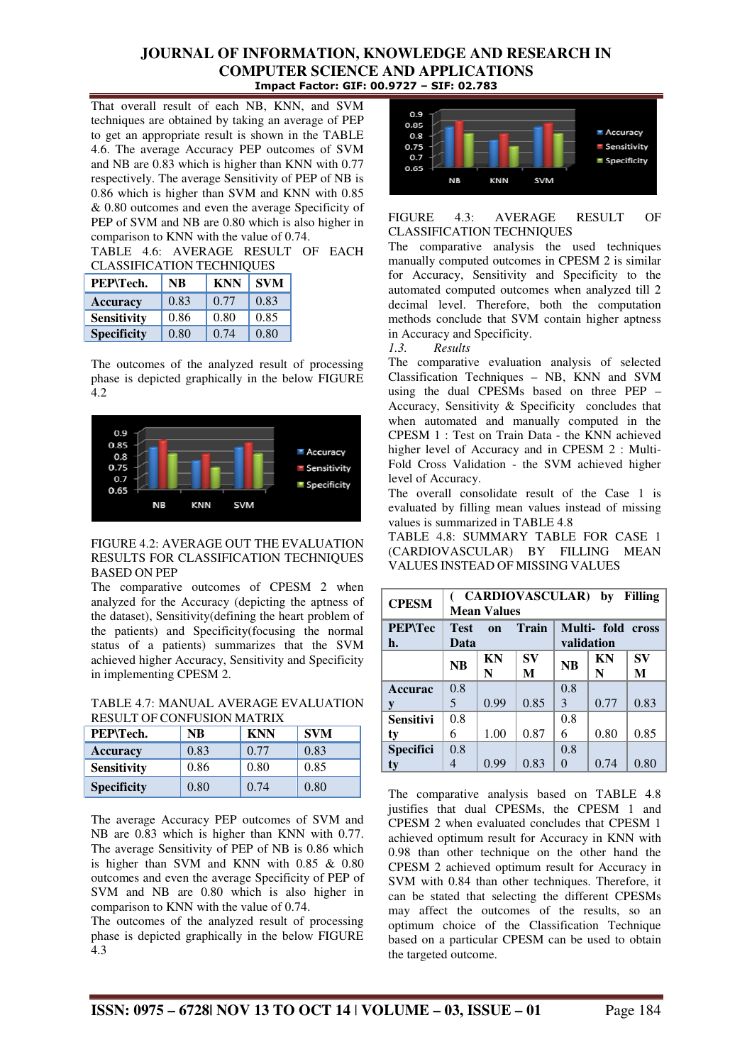That overall result of each NB, KNN, and SVM techniques are obtained by taking an average of PEP to get an appropriate result is shown in the TABLE 4.6. The average Accuracy PEP outcomes of SVM and NB are 0.83 which is higher than KNN with 0.77 respectively. The average Sensitivity of PEP of NB is 0.86 which is higher than SVM and KNN with 0.85 & 0.80 outcomes and even the average Specificity of PEP of SVM and NB are 0.80 which is also higher in comparison to KNN with the value of 0.74.

TABLE 4.6: AVERAGE RESULT OF EACH CLASSIFICATION TECHNIQUES

| СЕЛЬЯН ІСЛІНОГУ ТЕСПІЧІОСЕВ |      |            |            |  |  |
|-----------------------------|------|------------|------------|--|--|
| PEP\Tech.                   | NB   | <b>KNN</b> | <b>SVM</b> |  |  |
| <b>Accuracy</b>             | 0.83 | 0.77       | 0.83       |  |  |
| <b>Sensitivity</b>          | 0.86 | 0.80       | 0.85       |  |  |
| <b>Specificity</b>          | 0.80 | 0.74       | 0.80       |  |  |

The outcomes of the analyzed result of processing phase is depicted graphically in the below FIGURE 4.2



### FIGURE 4.2: AVERAGE OUT THE EVALUATION RESULTS FOR CLASSIFICATION TECHNIQUES BASED ON PEP

The comparative outcomes of CPESM 2 when analyzed for the Accuracy (depicting the aptness of the dataset), Sensitivity(defining the heart problem of the patients) and Specificity(focusing the normal status of a patients) summarizes that the SVM achieved higher Accuracy, Sensitivity and Specificity in implementing CPESM 2.

TABLE 4.7: MANUAL AVERAGE EVALUATION RESULT OF CONFUSION MATRIX

| PEP\Tech.          | <b>NB</b> | <b>KNN</b> | <b>SVM</b> |
|--------------------|-----------|------------|------------|
| <b>Accuracy</b>    | 0.83      | 0.77       | 0.83       |
| <b>Sensitivity</b> | 0.86      | 0.80       | 0.85       |
| <b>Specificity</b> | 0.80      | 0.74       | 0.80       |

The average Accuracy PEP outcomes of SVM and NB are 0.83 which is higher than KNN with 0.77. The average Sensitivity of PEP of NB is 0.86 which is higher than SVM and KNN with 0.85 & 0.80 outcomes and even the average Specificity of PEP of SVM and NB are 0.80 which is also higher in comparison to KNN with the value of 0.74.

The outcomes of the analyzed result of processing phase is depicted graphically in the below FIGURE 4.3



### FIGURE 4.3: AVERAGE RESULT OF CLASSIFICATION TECHNIQUES

The comparative analysis the used techniques manually computed outcomes in CPESM 2 is similar for Accuracy, Sensitivity and Specificity to the automated computed outcomes when analyzed till 2 decimal level. Therefore, both the computation methods conclude that SVM contain higher aptness in Accuracy and Specificity.

*1.3. Results* 

The comparative evaluation analysis of selected Classification Techniques – NB, KNN and SVM using the dual CPESMs based on three PEP – Accuracy, Sensitivity & Specificity concludes that when automated and manually computed in the CPESM 1 : Test on Train Data - the KNN achieved higher level of Accuracy and in CPESM 2 : Multi-Fold Cross Validation - the SVM achieved higher level of Accuracy.

The overall consolidate result of the Case 1 is evaluated by filling mean values instead of missing values is summarized in TABLE 4.8

TABLE 4.8: SUMMARY TABLE FOR CASE 1 (CARDIOVASCULAR) BY FILLING MEAN VALUES INSTEAD OF MISSING VALUES

| <b>CPESM</b>         | <b>CARDIOVASCULAR)</b><br><b>Filling</b><br>by<br><b>Mean Values</b>         |         |         |           |         |         |
|----------------------|------------------------------------------------------------------------------|---------|---------|-----------|---------|---------|
| <b>PEP\Tec</b><br>h. | <b>Train</b><br>Multi- fold cross<br><b>Test</b><br>on<br>validation<br>Data |         |         |           |         |         |
|                      | <b>NB</b>                                                                    | KN<br>N | SV<br>M | <b>NB</b> | KN<br>N | SV<br>M |
| <b>Accurac</b>       | 0.8                                                                          |         |         | 0.8       |         |         |
| y                    | 5                                                                            | 0.99    | 0.85    | 3         | 0.77    | 0.83    |
| <b>Sensitivi</b>     | 0.8                                                                          |         |         | 0.8       |         |         |
| ty                   | 6                                                                            | 1.00    | 0.87    | 6         | 0.80    | 0.85    |
| <b>Specifici</b>     | 0.8                                                                          |         |         | 0.8       |         |         |
| ty                   |                                                                              | 0.99    | 0.83    | 0         | 0.74    | 0.80    |

The comparative analysis based on TABLE 4.8 justifies that dual CPESMs, the CPESM 1 and CPESM 2 when evaluated concludes that CPESM 1 achieved optimum result for Accuracy in KNN with 0.98 than other technique on the other hand the CPESM 2 achieved optimum result for Accuracy in SVM with 0.84 than other techniques. Therefore, it can be stated that selecting the different CPESMs may affect the outcomes of the results, so an optimum choice of the Classification Technique based on a particular CPESM can be used to obtain the targeted outcome.